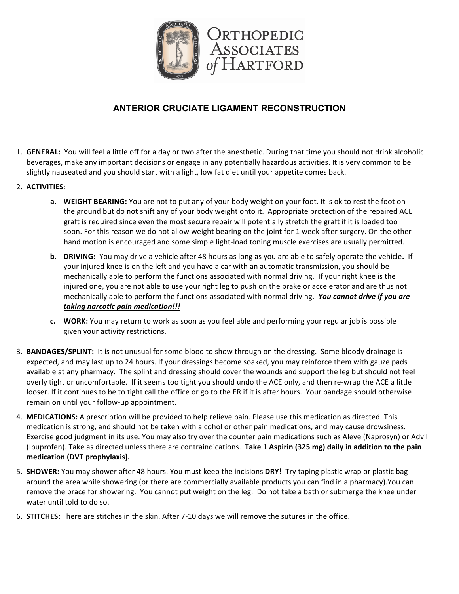

## **ANTERIOR CRUCIATE LIGAMENT RECONSTRUCTION**

- 1. **GENERAL:** You will feel a little off for a day or two after the anesthetic. During that time you should not drink alcoholic beverages, make any important decisions or engage in any potentially hazardous activities. It is very common to be slightly nauseated and you should start with a light, low fat diet until your appetite comes back.
- 2. **ACTIVITIES**:
	- **a. WEIGHT BEARING:** You are not to put any of your body weight on your foot. It is ok to rest the foot on the ground but do not shift any of your body weight onto it. Appropriate protection of the repaired ACL graft is required since even the most secure repair will potentially stretch the graft if it is loaded too soon. For this reason we do not allow weight bearing on the joint for 1 week after surgery. On the other hand motion is encouraged and some simple light-load toning muscle exercises are usually permitted.
	- **b. DRIVING:** You may drive a vehicle after 48 hours as long as you are able to safely operate the vehicle. If your injured knee is on the left and you have a car with an automatic transmission, you should be mechanically able to perform the functions associated with normal driving. If your right knee is the injured one, you are not able to use your right leg to push on the brake or accelerator and are thus not mechanically able to perform the functions associated with normal driving. You cannot drive if you are *taking narcotic pain medication!!!*
	- **c.** WORK: You may return to work as soon as you feel able and performing your regular job is possible given your activity restrictions.
- 3. **BANDAGES/SPLINT:** It is not unusual for some blood to show through on the dressing. Some bloody drainage is expected, and may last up to 24 hours. If your dressings become soaked, you may reinforce them with gauze pads available at any pharmacy. The splint and dressing should cover the wounds and support the leg but should not feel overly tight or uncomfortable. If it seems too tight you should undo the ACE only, and then re-wrap the ACE a little looser. If it continues to be to tight call the office or go to the ER if it is after hours. Your bandage should otherwise remain on until your follow-up appointment.
- 4. MEDICATIONS: A prescription will be provided to help relieve pain. Please use this medication as directed. This medication is strong, and should not be taken with alcohol or other pain medications, and may cause drowsiness. Exercise good judgment in its use. You may also try over the counter pain medications such as Aleve (Naprosyn) or Advil (Ibuprofen). Take as directed unless there are contraindications. Take 1 Aspirin (325 mg) daily in addition to the pain medication (DVT prophylaxis).
- 5. **SHOWER:** You may shower after 48 hours. You must keep the incisions DRY! Try taping plastic wrap or plastic bag around the area while showering (or there are commercially available products you can find in a pharmacy).You can remove the brace for showering. You cannot put weight on the leg. Do not take a bath or submerge the knee under water until told to do so.
- 6. **STITCHES:** There are stitches in the skin. After 7-10 days we will remove the sutures in the office.